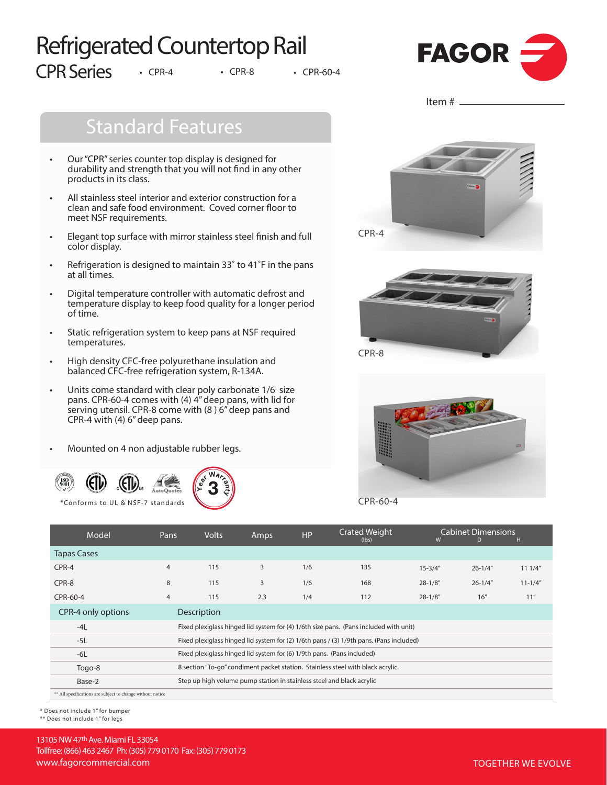# Refrigerated Countertop Rail CPR Series • CPR-4 • CPR-8 • CPR-60-4



# Standard Features

- Our "CPR" series counter top display is designed for durability and strength that you will not find in any other products in its class.
- All stainless steel interior and exterior construction for a clean and safe food environment. Coved corner floor to meet NSF requirements.
- Elegant top surface with mirror stainless steel finish and full color display.
- Refrigeration is designed to maintain 33° to 41°F in the pans at all times.
- Digital temperature controller with automatic defrost and temperature display to keep food quality for a longer period of time.
- Static refrigeration system to keep pans at NSF required temperatures.
- High density CFC-free polyurethane insulation and balanced CFC-free refrigeration system, R-134A.
- Units come standard with clear poly carbonate 1/6 size pans. CPR-60-4 comes with (4) 4" deep pans, with lid for serving utensil. CPR-8 come with (8 ) 6" deep pans and CPR-4 with (4) 6" deep pans.
- Mounted on 4 non adjustable rubber legs.





Item  $#_$ 





CPR-60-4

| Model                                                      | Pans                                                                                    | <b>Volts</b>                                                                          | Amps | <b>HP</b> | <b>Crated Weight</b><br>(lbs) | W           | <b>Cabinet Dimensions</b><br>D | н           |  |
|------------------------------------------------------------|-----------------------------------------------------------------------------------------|---------------------------------------------------------------------------------------|------|-----------|-------------------------------|-------------|--------------------------------|-------------|--|
| <b>Tapas Cases</b>                                         |                                                                                         |                                                                                       |      |           |                               |             |                                |             |  |
| CPR-4                                                      | $\overline{4}$                                                                          | 115                                                                                   | 3    | 1/6       | 135                           | $15 - 3/4"$ | $26 - 1/4"$                    | 111/4"      |  |
| CPR-8                                                      | 8                                                                                       | 115                                                                                   | 3    | 1/6       | 168                           | $28 - 1/8"$ | $26 - 1/4"$                    | $11 - 1/4"$ |  |
| CPR-60-4                                                   | $\overline{4}$                                                                          | 115                                                                                   | 2.3  | 1/4       | 112                           | $28 - 1/8"$ | 16''                           | 11''        |  |
| CPR-4 only options                                         |                                                                                         | Description                                                                           |      |           |                               |             |                                |             |  |
| $-4L$                                                      |                                                                                         | Fixed plexiglass hinged lid system for (4) 1/6th size pans. (Pans included with unit) |      |           |                               |             |                                |             |  |
| $-5L$                                                      | Fixed plexiglass hinged lid system for (2) 1/6th pans / (3) 1/9th pans. (Pans included) |                                                                                       |      |           |                               |             |                                |             |  |
| $-6L$                                                      | Fixed plexiglass hinged lid system for (6) 1/9th pans. (Pans included)                  |                                                                                       |      |           |                               |             |                                |             |  |
| Togo-8                                                     | 8 section "To-go" condiment packet station. Stainless steel with black acrylic.         |                                                                                       |      |           |                               |             |                                |             |  |
| Base-2                                                     | Step up high volume pump station in stainless steel and black acrylic                   |                                                                                       |      |           |                               |             |                                |             |  |
| ** All specifications are subject to change without notice |                                                                                         |                                                                                       |      |           |                               |             |                                |             |  |

\* Does not include 1" for bumper